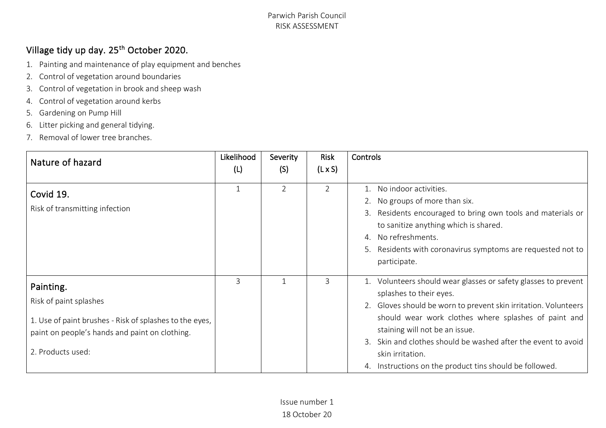# Village tidy up day. 25<sup>th</sup> October 2020.

- 1. Painting and maintenance of play equipment and benches
- 2. Control of vegetation around boundaries
- 3. Control of vegetation in brook and sheep wash
- 4. Control of vegetation around kerbs
- 5. Gardening on Pump Hill
- 6. Litter picking and general tidying.
- 7. Removal of lower tree branches.

| Nature of hazard                                                                                                                                                      | Likelihood<br>(L) | Severity<br>(S) | <b>Risk</b><br>$(L \times S)$ | Controls                                                                                                                                                                                                                                                                                                                                                                                                  |
|-----------------------------------------------------------------------------------------------------------------------------------------------------------------------|-------------------|-----------------|-------------------------------|-----------------------------------------------------------------------------------------------------------------------------------------------------------------------------------------------------------------------------------------------------------------------------------------------------------------------------------------------------------------------------------------------------------|
| Covid 19.<br>Risk of transmitting infection                                                                                                                           | $\mathbf 1$       | 2               | $\overline{2}$                | No indoor activities.<br>2. No groups of more than six.<br>Residents encouraged to bring own tools and materials or<br>3.<br>to sanitize anything which is shared.<br>No refreshments.<br>$\mathcal{A}_{\cdot}$<br>Residents with coronavirus symptoms are requested not to<br>5.<br>participate.                                                                                                         |
| Painting.<br>Risk of paint splashes<br>1. Use of paint brushes - Risk of splashes to the eyes,<br>paint on people's hands and paint on clothing.<br>2. Products used: | $\overline{3}$    | 1               | 3                             | 1. Volunteers should wear glasses or safety glasses to prevent<br>splashes to their eyes.<br>2. Gloves should be worn to prevent skin irritation. Volunteers<br>should wear work clothes where splashes of paint and<br>staining will not be an issue.<br>Skin and clothes should be washed after the event to avoid<br>3.<br>skin irritation.<br>4. Instructions on the product tins should be followed. |

Issue number 1 18 October 20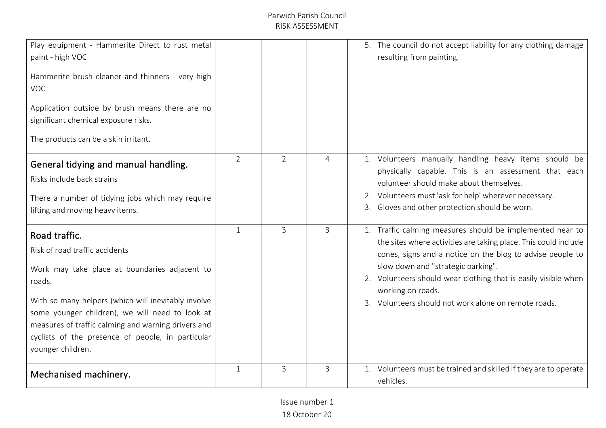| Play equipment - Hammerite Direct to rust metal<br>paint - high VOC<br>Hammerite brush cleaner and thinners - very high<br><b>VOC</b><br>Application outside by brush means there are no<br>significant chemical exposure risks.<br>The products can be a skin irritant.                                                                              |                |                |                | 5. The council do not accept liability for any clothing damage<br>resulting from painting.                                                                                                                                                                                                                                                                                     |
|-------------------------------------------------------------------------------------------------------------------------------------------------------------------------------------------------------------------------------------------------------------------------------------------------------------------------------------------------------|----------------|----------------|----------------|--------------------------------------------------------------------------------------------------------------------------------------------------------------------------------------------------------------------------------------------------------------------------------------------------------------------------------------------------------------------------------|
| General tidying and manual handling.<br>Risks include back strains<br>There a number of tidying jobs which may require<br>lifting and moving heavy items.                                                                                                                                                                                             | $\overline{2}$ | $\overline{2}$ | 4              | 1. Volunteers manually handling heavy items should be<br>physically capable. This is an assessment that each<br>volunteer should make about themselves.<br>2. Volunteers must 'ask for help' wherever necessary.<br>3. Gloves and other protection should be worn.                                                                                                             |
| Road traffic.<br>Risk of road traffic accidents<br>Work may take place at boundaries adjacent to<br>roads.<br>With so many helpers (which will inevitably involve<br>some younger children), we will need to look at<br>measures of traffic calming and warning drivers and<br>cyclists of the presence of people, in particular<br>younger children. | $\mathbf{1}$   | $\overline{3}$ | $\overline{3}$ | 1. Traffic calming measures should be implemented near to<br>the sites where activities are taking place. This could include<br>cones, signs and a notice on the blog to advise people to<br>slow down and "strategic parking".<br>2. Volunteers should wear clothing that is easily visible when<br>working on roads.<br>3. Volunteers should not work alone on remote roads. |
| Mechanised machinery.                                                                                                                                                                                                                                                                                                                                 | $\mathbf{1}$   | 3              | 3              | 1. Volunteers must be trained and skilled if they are to operate<br>vehicles.                                                                                                                                                                                                                                                                                                  |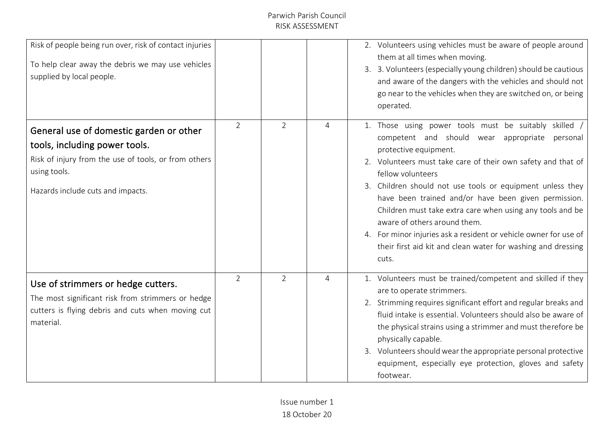| Risk of people being run over, risk of contact injuries<br>To help clear away the debris we may use vehicles<br>supplied by local people.                                             |                |                |                | 2. Volunteers using vehicles must be aware of people around<br>them at all times when moving.<br>3. 3. Volunteers (especially young children) should be cautious<br>and aware of the dangers with the vehicles and should not<br>go near to the vehicles when they are switched on, or being<br>operated.                                                                                                                                                                                                                                                                            |
|---------------------------------------------------------------------------------------------------------------------------------------------------------------------------------------|----------------|----------------|----------------|--------------------------------------------------------------------------------------------------------------------------------------------------------------------------------------------------------------------------------------------------------------------------------------------------------------------------------------------------------------------------------------------------------------------------------------------------------------------------------------------------------------------------------------------------------------------------------------|
| General use of domestic garden or other<br>tools, including power tools.<br>Risk of injury from the use of tools, or from others<br>using tools.<br>Hazards include cuts and impacts. | $\overline{2}$ | $\overline{2}$ | $\overline{4}$ | 1. Those using power tools must be suitably skilled /<br>competent and should wear appropriate personal<br>protective equipment.<br>2. Volunteers must take care of their own safety and that of<br>fellow volunteers<br>3. Children should not use tools or equipment unless they<br>have been trained and/or have been given permission.<br>Children must take extra care when using any tools and be<br>aware of others around them.<br>4. For minor injuries ask a resident or vehicle owner for use of<br>their first aid kit and clean water for washing and dressing<br>cuts. |
| Use of strimmers or hedge cutters.<br>The most significant risk from strimmers or hedge<br>cutters is flying debris and cuts when moving cut<br>material.                             | 2              | $\overline{2}$ | 4              | 1. Volunteers must be trained/competent and skilled if they<br>are to operate strimmers.<br>2. Strimming requires significant effort and regular breaks and<br>fluid intake is essential. Volunteers should also be aware of<br>the physical strains using a strimmer and must therefore be<br>physically capable.<br>3. Volunteers should wear the appropriate personal protective<br>equipment, especially eye protection, gloves and safety<br>footwear.                                                                                                                          |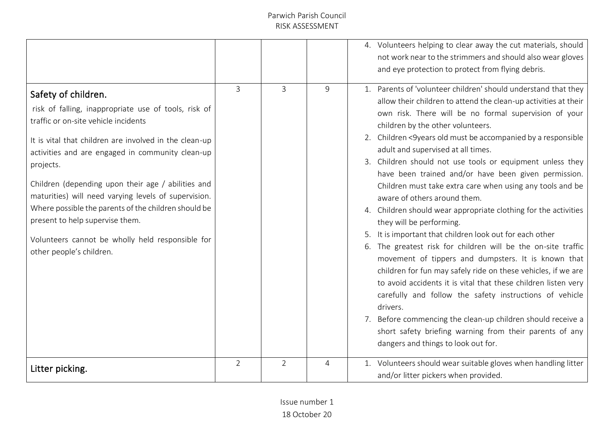|                                                                                                                                                                                                                                                                                                                                                                                                                                                                                                                                         |                |                |   | 4. Volunteers helping to clear away the cut materials, should<br>not work near to the strimmers and should also wear gloves<br>and eye protection to protect from flying debris.                                                                                                                                                                                                                                                                                                                                                                                                                                                                                                                                                                                                                                                                                                                                                                                                                                                                                                                                                                                                                                   |
|-----------------------------------------------------------------------------------------------------------------------------------------------------------------------------------------------------------------------------------------------------------------------------------------------------------------------------------------------------------------------------------------------------------------------------------------------------------------------------------------------------------------------------------------|----------------|----------------|---|--------------------------------------------------------------------------------------------------------------------------------------------------------------------------------------------------------------------------------------------------------------------------------------------------------------------------------------------------------------------------------------------------------------------------------------------------------------------------------------------------------------------------------------------------------------------------------------------------------------------------------------------------------------------------------------------------------------------------------------------------------------------------------------------------------------------------------------------------------------------------------------------------------------------------------------------------------------------------------------------------------------------------------------------------------------------------------------------------------------------------------------------------------------------------------------------------------------------|
| Safety of children.<br>risk of falling, inappropriate use of tools, risk of<br>traffic or on-site vehicle incidents<br>It is vital that children are involved in the clean-up<br>activities and are engaged in community clean-up<br>projects.<br>Children (depending upon their age / abilities and<br>maturities) will need varying levels of supervision.<br>Where possible the parents of the children should be<br>present to help supervise them.<br>Volunteers cannot be wholly held responsible for<br>other people's children. | 3              | 3              | 9 | 1. Parents of 'volunteer children' should understand that they<br>allow their children to attend the clean-up activities at their<br>own risk. There will be no formal supervision of your<br>children by the other volunteers.<br>2. Children <9years old must be accompanied by a responsible<br>adult and supervised at all times.<br>3. Children should not use tools or equipment unless they<br>have been trained and/or have been given permission.<br>Children must take extra care when using any tools and be<br>aware of others around them.<br>4. Children should wear appropriate clothing for the activities<br>they will be performing.<br>It is important that children look out for each other<br>6. The greatest risk for children will be the on-site traffic<br>movement of tippers and dumpsters. It is known that<br>children for fun may safely ride on these vehicles, if we are<br>to avoid accidents it is vital that these children listen very<br>carefully and follow the safety instructions of vehicle<br>drivers.<br>7. Before commencing the clean-up children should receive a<br>short safety briefing warning from their parents of any<br>dangers and things to look out for. |
| Litter picking.                                                                                                                                                                                                                                                                                                                                                                                                                                                                                                                         | $\overline{2}$ | $\overline{2}$ | 4 | 1. Volunteers should wear suitable gloves when handling litter<br>and/or litter pickers when provided.                                                                                                                                                                                                                                                                                                                                                                                                                                                                                                                                                                                                                                                                                                                                                                                                                                                                                                                                                                                                                                                                                                             |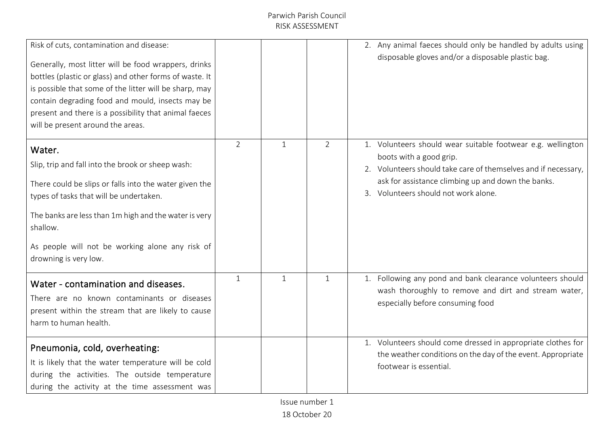| Risk of cuts, contamination and disease:<br>Generally, most litter will be food wrappers, drinks<br>bottles (plastic or glass) and other forms of waste. It<br>is possible that some of the litter will be sharp, may<br>contain degrading food and mould, insects may be<br>present and there is a possibility that animal faeces<br>will be present around the areas. |                |              |                | 2. Any animal faeces should only be handled by adults using<br>disposable gloves and/or a disposable plastic bag.                                                                                                                                      |
|-------------------------------------------------------------------------------------------------------------------------------------------------------------------------------------------------------------------------------------------------------------------------------------------------------------------------------------------------------------------------|----------------|--------------|----------------|--------------------------------------------------------------------------------------------------------------------------------------------------------------------------------------------------------------------------------------------------------|
| Water.<br>Slip, trip and fall into the brook or sheep wash:<br>There could be slips or falls into the water given the<br>types of tasks that will be undertaken.<br>The banks are less than 1m high and the water is very<br>shallow.<br>As people will not be working alone any risk of<br>drowning is very low.                                                       | $\overline{2}$ | $\mathbf{1}$ | $\overline{2}$ | 1. Volunteers should wear suitable footwear e.g. wellington<br>boots with a good grip.<br>2. Volunteers should take care of themselves and if necessary,<br>ask for assistance climbing up and down the banks.<br>3. Volunteers should not work alone. |
| Water - contamination and diseases.<br>There are no known contaminants or diseases<br>present within the stream that are likely to cause<br>harm to human health.                                                                                                                                                                                                       | $\mathbf{1}$   | $\mathbf{1}$ | $\mathbf{1}$   | 1. Following any pond and bank clearance volunteers should<br>wash thoroughly to remove and dirt and stream water,<br>especially before consuming food                                                                                                 |
| Pneumonia, cold, overheating:<br>It is likely that the water temperature will be cold<br>during the activities. The outside temperature<br>during the activity at the time assessment was                                                                                                                                                                               |                |              |                | 1. Volunteers should come dressed in appropriate clothes for<br>the weather conditions on the day of the event. Appropriate<br>footwear is essential.                                                                                                  |